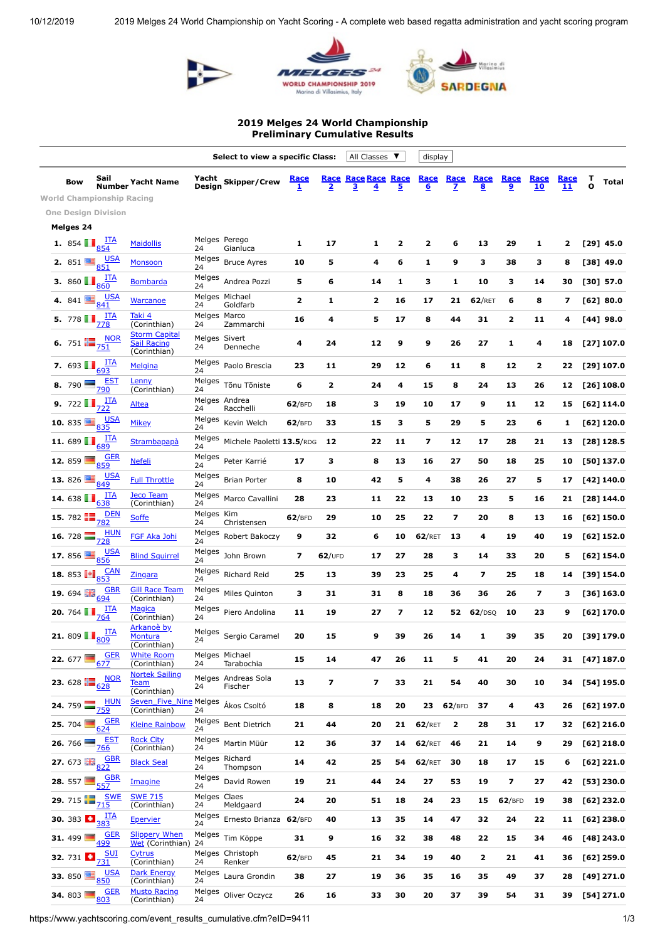





## **2019 Melges 24 World Championship Preliminary Cumulative Results**

|                                                      |                                                           |                                                            | Select to view a specific Class:<br>All Classes<br>$\overline{\mathbf{v}}$ |                                |                             |                               |                                                  |           | display        |                         |                          |                        |                         |            |                   |               |
|------------------------------------------------------|-----------------------------------------------------------|------------------------------------------------------------|----------------------------------------------------------------------------|--------------------------------|-----------------------------|-------------------------------|--------------------------------------------------|-----------|----------------|-------------------------|--------------------------|------------------------|-------------------------|------------|-------------------|---------------|
| Bow                                                  | Sail<br><b>Number</b><br><b>World Championship Racing</b> | <b>Yacht Name</b>                                          | Design                                                                     | Yacht Skipper/Crew             | <u>Race</u><br>$\mathbf{1}$ | <b>Race</b><br>$\overline{2}$ | <b>Race Race</b><br>3<br>$\overline{\mathbf{4}}$ | Race<br>5 | Race<br>6      | Race<br>$\mathbf{z}$    | Race<br><u>8</u>         | Race<br>$\overline{9}$ | Race<br>10              | Race<br>11 | т<br>$\mathbf{o}$ | <b>Total</b>  |
|                                                      | <b>One Design Division</b>                                |                                                            |                                                                            |                                |                             |                               |                                                  |           |                |                         |                          |                        |                         |            |                   |               |
| Melges 24                                            |                                                           |                                                            |                                                                            |                                |                             |                               |                                                  |           |                |                         |                          |                        |                         |            |                   |               |
| <b>1.</b> 854 $\frac{1 \text{T A}}{854}$             |                                                           | <b>Maidollis</b>                                           | 24                                                                         | Melges Perego<br>Gianluca      | 1                           | 17                            | 1                                                | 2         | 2              | 6                       | 13                       | 29                     | 1                       | 2          |                   | $[29]$ 45.0   |
| <b>2.</b> 851 $\frac{10}{6}$ 851                     |                                                           | <b>Monsoon</b>                                             | Melges<br>24                                                               | <b>Bruce Ayres</b>             | 10                          | 5                             | 4                                                | 6         | 1              | 9                       | з                        | 38                     | з                       | 8          |                   | $[38]$ 49.0   |
| 3. 860 $\blacksquare$                                | <u>ITA</u><br>860                                         | <b>Bombarda</b>                                            | Melges<br>24                                                               | Andrea Pozzi                   | 5                           | 6                             | 14                                               | 1         | 3              | 1                       | 10                       | з                      | 14                      | 30         |                   | [30] 57.0     |
| 4. 841                                               | <u>USA</u><br>841                                         | <b>Warcanoe</b>                                            | 24                                                                         | Melges Michael<br>Goldfarb     | 2                           | 1                             | $\overline{\mathbf{2}}$                          | 16        | 17             | 21                      | 62/RET                   | 6                      | 8                       | 7          |                   | [62] 80.0     |
| 5. 778 <b>1</b>                                      | <u>ITA</u><br>778                                         | Taki 4<br>(Corinthian)                                     | Melges Marco<br>24                                                         | Zammarchi                      | 16                          | 4                             | 5                                                | 17        | 8              | 44                      | 31                       | 2                      | 11                      | 4          |                   | $[44]$ 98.0   |
|                                                      | 6. 751 $\frac{100R}{751}$                                 | <b>Storm Capital</b><br><b>Sail Racing</b><br>(Corinthian) | Melges Sivert<br>24                                                        | Denneche                       | 4                           | 24                            | 12                                               | 9         | 9              | 26                      | 27                       | 1                      | 4                       | 18         |                   | [27] 107.0    |
| 7. 693 $\frac{\text{ITA}}{693}$                      |                                                           | Melgina                                                    | Melges<br>24                                                               | Paolo Brescia                  | 23                          | 11                            | 29                                               | 12        | 6              | 11                      | 8                        | 12                     | $\overline{\mathbf{2}}$ | 22         |                   | [29] 107.0    |
| 8. 790 $\blacksquare$                                | <u>EST</u><br>790                                         | <b>Lenny</b><br>(Corinthian)                               | Melges<br>24                                                               | Tõnu Tõniste                   | 6                           | $\overline{\mathbf{2}}$       | 24                                               | 4         | 15             | 8                       | 24                       | 13                     | 26                      | 12         |                   | [26] 108.0    |
| <b>9.</b> 722 $\frac{\text{ITA}}{722}$               |                                                           | <b>Altea</b>                                               | 24                                                                         | Melges Andrea<br>Racchelli     | 62/BFD                      | 18                            | з                                                | 19        | 10             | 17                      | 9                        | 11                     | 12                      | 15         |                   | [62] 114.0    |
| <b>10.</b> 835 $\frac{10}{335}$                      |                                                           | <b>Mikey</b>                                               | Melges<br>24                                                               | Kevin Welch                    | 62/BFD                      | 33                            | 15                                               | з         | 5              | 29                      | 5                        | 23                     | 6                       | 1          |                   | [62] 120.0    |
| <b>11.</b> 689 $\blacksquare$ $\frac{ITA}{689}$      |                                                           | Strambapapà                                                | Melges<br>24                                                               | Michele Paoletti 13.5/RDG      |                             | 12                            | 22                                               | 11        | $\overline{ }$ | 12                      | 17                       | 28                     | 21                      | 13         |                   | [28] 128.5    |
|                                                      | <b>12.</b> 859 $\frac{GER}{859}$                          | <u>Nefeli</u>                                              | Melges<br>24                                                               | Peter Karrié                   | 17                          | з                             | 8                                                | 13        | 16             | 27                      | 50                       | 18                     | 25                      | 10         |                   | [50] 137.0    |
| <b>13.</b> 826 $\frac{USA}{849}$                     |                                                           | <b>Full Throttle</b>                                       | Melges<br>24                                                               | <b>Brian Porter</b>            | 8                           | 10                            | 42                                               | 5         | 4              | 38                      | 26                       | 27                     | 5                       | 17         |                   | [42] 140.0    |
| 14.638                                               | <u>ITA</u><br>638                                         | Jeco Team<br>(Corinthian)                                  | Melges<br>24                                                               | Marco Cavallini                | 28                          | 23                            | 11                                               | 22        | 13             | 10                      | 23                       | 5                      | 16                      | 21         |                   | [28] 144.0    |
|                                                      | 15. 782 $\frac{DEN}{782}$                                 | <b>Soffe</b>                                               | Melges Kim<br>24                                                           | Christensen                    | 62/BFD                      | 29                            | 10                                               | 25        | 22             | 7                       | 20                       | 8                      | 13                      | 16         |                   | [62] 150.0    |
|                                                      | <b>16.</b> 728 $\frac{HUN}{728}$                          | <b>FGF Aka Johi</b>                                        | Melges<br>24                                                               | Robert Bakoczy                 | 9                           | 32                            | 6                                                | 10        | 62/RET         | 13                      | 4                        | 19                     | 40                      | 19         |                   | [62] 152.0    |
| 17. 856                                              | <u>USA</u><br>856                                         | <b>Blind Squirrel</b>                                      | Melges<br>24                                                               | John Brown                     | $\overline{\phantom{a}}$    | $62$ /UFD                     | 17                                               | 27        | 28             | з                       | 14                       | 33                     | 20                      | 5          |                   | [62] 154.0    |
| <b>18.</b> 853 $\bullet$ $\bullet$ $\frac{CAN}{853}$ |                                                           | <u>Zingara</u>                                             | Melges<br>24                                                               | Richard Reid                   | 25                          | 13                            | 39                                               | 23        | 25             | 4                       | $\overline{\phantom{a}}$ | 25                     | 18                      | 14         |                   | [39] 154.0    |
| 19. 694                                              | <b>GBR</b><br>694                                         | <b>Gill Race Team</b><br>(Corinthian)                      | Melges<br>24                                                               | Miles Quinton                  | з                           | 31                            | 31                                               | 8         | 18             | 36                      | 36                       | 26                     | 7                       | з          |                   | [36] 163.0    |
| 20. 764                                              | <u>ITA</u><br>764                                         | Magica<br>(Corinthian)                                     | Melges<br>24                                                               | Piero Andolina                 | 11                          | 19                            | 27                                               | 7         | 12             | 52                      | 62/DSQ                   | 10                     | 23                      | 9          |                   | [62] 170.0    |
| <b>21.</b> 809 $\frac{11}{809}$                      | <u>ITA</u>                                                | Arkanoè by<br><b>Montura</b><br>(Corinthian)               | Melges<br>24                                                               | Sergio Caramel                 | 20                          | 15                            | 9                                                | 39        | 26             | 14                      | 1                        | 39                     | 35                      | 20         |                   | [39] 179.0    |
| 22. 677                                              | <b>GER</b><br>677                                         | <b>White Room</b><br>(Corinthian)                          | 24                                                                         | Melges Michael<br>Tarabochia   | 15                          | 14                            | 47                                               | 26        | 11             | 5                       | 41                       | 20                     | 24                      |            |                   | 31 [47] 187.0 |
|                                                      | <b>23.</b> 628 $\frac{100R}{628}$                         | <b>Nortek Sailing</b><br><b>Team</b><br>(Corinthian)       | 24                                                                         | Melges Andreas Sola<br>Fischer | 13                          | $\overline{\mathbf{z}}$       | $\overline{\mathbf{z}}$                          | 33        | 21             | 54                      | 40                       | 30                     | 10                      | 34         |                   | [54] 195.0    |
| <b>24.</b> 759 $\frac{11}{759}$                      | <b>HUN</b>                                                | Seven_Five_Nine Melges<br>(Corinthian)                     | 24                                                                         | Ákos Csoltó                    | 18                          | 8                             | 18                                               | 20        | 23             | 62/BFD                  | 37                       | 4                      | 43                      | 26         |                   | [62] 197.0    |
| 25.704                                               | <u>GER</u><br>624                                         | <b>Kleine Rainbow</b>                                      | Melges<br>24                                                               | <b>Bent Dietrich</b>           | 21                          | 44                            | 20                                               | 21        | 62/RET         | $\overline{\mathbf{2}}$ | 28                       | 31                     | 17                      | 32         |                   | [62] 216.0    |
| 26.766                                               | <u>EST</u><br>766                                         | <b>Rock City</b><br>(Corinthian)                           | 24                                                                         | Melges Martin Müür             | 12                          | 36                            | 37                                               | 14        | 62/RET         | 46                      | 21                       | 14                     | 9                       | 29         |                   | $[62]$ 218.0  |
|                                                      | 27. 673 $\frac{GBR}{822}$                                 | <b>Black Seal</b>                                          | 24                                                                         | Melges Richard<br>Thompson     | 14                          | 42                            | 25                                               | 54        | 62/RET         | 30                      | 18                       | 17                     | 15                      | 6          |                   | $[62]$ 221.0  |
| 28. 557                                              | <u>GBR</u><br>557                                         | Imagine                                                    | Melges<br>24                                                               | David Rowen                    | 19                          | 21                            | 44                                               | 24        | 27             | 53                      | 19                       | 7                      | 27                      | 42         |                   | [53] 230.0    |
| 29. 715                                              | <u>SWE</u><br>$71\overline{5}$                            | <b>SWE 715</b><br>(Corinthian)                             | Melges Claes<br>24                                                         | Meldgaard                      | 24                          | 20                            | 51                                               | 18        | 24             | 23                      | 15                       | 62/BFD                 | 19                      | 38         |                   | [62] 232.0    |
| <b>30.</b> 383 $\frac{1 \text{ T A}}{383}$           |                                                           | <b>Epervier</b>                                            | Melges<br>24                                                               | Ernesto Brianza 62/BFD         |                             | 40                            | 13                                               | 35        | 14             | 47                      | 32                       | 24                     | 22                      | 11         |                   | [62] 238.0    |
| 31. 499                                              | <u>GER</u><br>499                                         | <b>Slippery When</b><br>Wet (Corinthian)                   | 24                                                                         | Melges Tim Köppe               | 31                          | 9                             | 16                                               | 32        | 38             | 48                      | 22                       | 15                     | 34                      | 46         |                   | $[48]$ 243.0  |
| <b>32.</b> 731 $\frac{SUI}{731}$                     |                                                           | <b>Cytrus</b><br>(Corinthian)                              | 24                                                                         | Melges Christoph<br>Renker     | 62/BFD                      | 45                            | 21                                               | 34        | 19             | 40                      | 2                        | 21                     | 41                      | 36         |                   | [62] 259.0    |
| 33.850                                               | <u>USA</u><br>850                                         | <b>Dark Energy</b><br>(Corinthian)                         | Melges<br>24                                                               | Laura Grondin                  | 38                          | 27                            | 19                                               | 36        | 35             | 16                      | 35                       | 49                     | 37                      | 28         |                   | $[49]$ 271.0  |
| 34. 803                                              | <b>GER</b><br>803                                         | <b>Musto Racing</b><br>(Corinthian)                        | Melges<br>24                                                               | Oliver Oczycz                  | 26                          | 16                            | 33                                               | 30        | 20             | 37                      | 39                       | 54                     | 31                      | 39         |                   | $[54]$ 271.0  |

https://www.yachtscoring.com/event\_results\_cumulative.cfm?eID=9411 1/3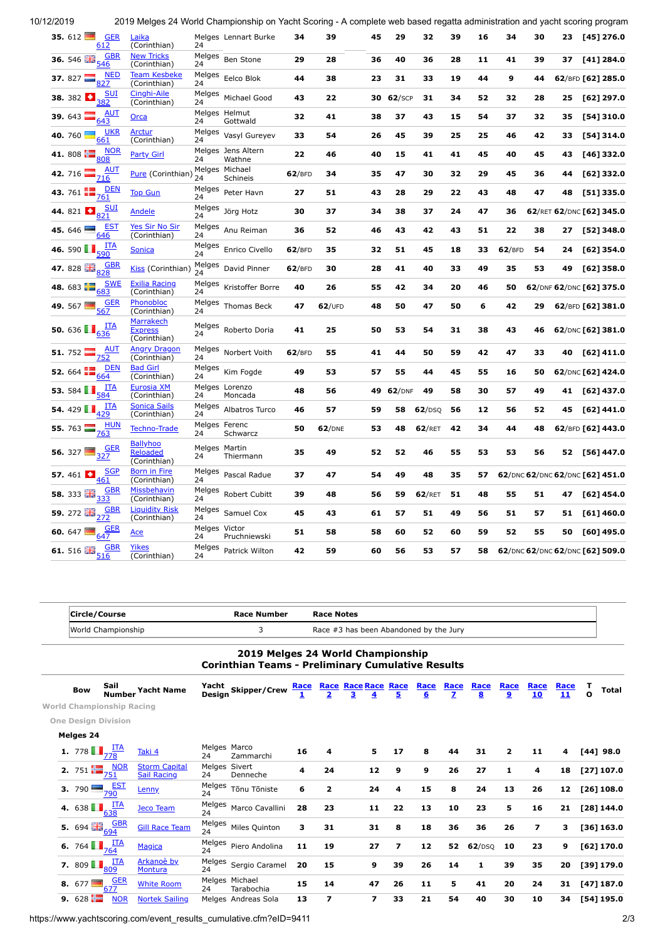10/12/2019 2019 Melges 24 World Championship on Yacht Scoring - A complete web based regatta administration and yacht scoring program **35.** 612 [GER](https://www.yachtscoring.com/boatdetail.cfm?Yacht_ID=180791) 612 [Laika](https://www.yachtscoring.com/boatdetail.cfm?Yacht_ID=180791) <u>Loma</u><br>(Corinthian) Melges Lennart Burke **34 39 45 29 32 39 16 34 30 23 [45] 276.0** 24 **36.** 546 **GBR**  $546$ **[New Tricks](https://www.yachtscoring.com/boatdetail.cfm?Yacht_ID=176075)** (Corinthian) Melges <sup>24</sup> Ben Stone **<sup>29</sup> <sup>28</sup> <sup>36</sup> <sup>40</sup> <sup>36</sup> <sup>28</sup> <sup>11</sup> <sup>41</sup> <sup>39</sup> <sup>37</sup> [41] 284.0 37.** 827  $\frac{NED}{\sqrt{2}}$ 827 Team Ke (Corinthian) Melges <sup>24</sup> Eelco Blok **<sup>44</sup> <sup>38</sup> <sup>23</sup> <sup>31</sup> <sup>33</sup> <sup>19</sup> <sup>44</sup> <sup>9</sup> <sup>44</sup> <sup>62</sup>**/BFD **[62] 285.0 38.** 382 D <u>SUI</u><br>382 nahi-Ail (Corinthian) Melges <sup>24</sup> Michael Good **<sup>43</sup> <sup>22</sup> <sup>30</sup> <sup>62</sup>**/SCP **<sup>31</sup> <sup>34</sup> <sup>52</sup> <sup>32</sup> <sup>28</sup> <sup>25</sup> [62] 297.0 39.** 643 AUT [Orca](https://www.yachtscoring.com/boatdetail.cfm?Yacht_ID=181050) Melges Helmut<br>
1943 Orca 24 Gottwald 24 Melges Helmut Gottwald **<sup>32</sup> <sup>41</sup> <sup>38</sup> <sup>37</sup> <sup>43</sup> <sup>15</sup> <sup>54</sup> <sup>37</sup> <sup>32</sup> <sup>35</sup> [54] 310.0 40.** <sup>760</sup> [UKR](https://www.yachtscoring.com/boatdetail.cfm?Yacht_ID=181415) 661 [Arctur](https://www.yachtscoring.com/boatdetail.cfm?Yacht_ID=181415) (Corinthian) Melges Vasyl Gureyev <sup>24</sup> Vasyl Gureyev **<sup>33</sup> <sup>54</sup> <sup>26</sup> <sup>45</sup> <sup>39</sup> <sup>25</sup> <sup>25</sup> <sup>46</sup> <sup>42</sup> <sup>33</sup> [54] 314.0 41.** 808  $\frac{1}{2}$   $\frac{NOR}{OR}$ [Party Girl](https://www.yachtscoring.com/boatdetail.cfm?Yacht_ID=168999) 24 Melges Jens Altern<br>24 Wathne Wathne **<sup>22</sup> <sup>46</sup> <sup>40</sup> <sup>15</sup> <sup>41</sup> <sup>41</sup> <sup>45</sup> <sup>40</sup> <sup>45</sup> <sup>43</sup> [46] 332.0 42.** 716  $\frac{\text{AUT}}{716}$ **[Pure](https://www.yachtscoring.com/boatdetail.cfm?Yacht_ID=170115)** (Corinthian) Melges Michael<br>Schineis  $24$ Melges Michael Schineis **<sup>62</sup>**/BFD **<sup>34</sup> <sup>35</sup> <sup>47</sup> <sup>30</sup> <sup>32</sup> <sup>29</sup> <sup>45</sup> <sup>36</sup> <sup>44</sup> [62] 332.0 43.** 761 [DEN](https://www.yachtscoring.com/boatdetail.cfm?Yacht_ID=178391) <sup>761</sup> [Top Gun](https://www.yachtscoring.com/boatdetail.cfm?Yacht_ID=178391) Melges <sup>24</sup> Peter Havn **<sup>27</sup> <sup>51</sup> <sup>43</sup> <sup>28</sup> <sup>29</sup> <sup>22</sup> <sup>43</sup> <sup>48</sup> <sup>47</sup> <sup>48</sup> [51] 335.0 44.** 821 **b** 821 [Andele](https://www.yachtscoring.com/boatdetail.cfm?Yacht_ID=180585) Melges Jörg Hotz <sup>24</sup> Jörg Hotz **<sup>30</sup> <sup>37</sup> <sup>34</sup> <sup>38</sup> <sup>37</sup> <sup>24</sup> <sup>47</sup> <sup>36</sup> <sup>62</sup>**/RET **<sup>62</sup>**/DNC **[62] 345.0 45.** <sup>646</sup> [EST](https://www.yachtscoring.com/boatdetail.cfm?Yacht_ID=181417) 646 [Yes Sir No Sir](https://www.yachtscoring.com/boatdetail.cfm?Yacht_ID=181417) (Corinthian) Melges <sup>24</sup> Anu Reiman **<sup>36</sup> <sup>52</sup> <sup>46</sup> <sup>43</sup> <sup>42</sup> <sup>43</sup> <sup>51</sup> <sup>22</sup> <sup>38</sup> <sup>27</sup> [52] 348.0 46.** 590  $\frac{1}{\sqrt{590}}$ <sup>590</sup> [Sonica](https://www.yachtscoring.com/boatdetail.cfm?Yacht_ID=174589) Melges <sup>24</sup> Enrico Civello **<sup>62</sup>**/BFD **<sup>35</sup> <sup>32</sup> <sup>51</sup> <sup>45</sup> <sup>18</sup> <sup>33</sup> <sup>62</sup>**/BFD **<sup>54</sup> <sup>24</sup> [62] 354.0** 47. 828 **FR**<sub>838</sub> **[Kiss](https://www.yachtscoring.com/boatdetail.cfm?Yacht_ID=171645)** (Corinthian)  $\frac{M}{24}$ <sup>24</sup> David Pinner **<sup>62</sup>**/BFD **<sup>30</sup> <sup>28</sup> <sup>41</sup> <sup>40</sup> <sup>33</sup> <sup>49</sup> <sup>35</sup> <sup>53</sup> <sup>49</sup> [62] 358.0 48.** 683  $\frac{SNE}{\sqrt{3}}$ 683 [Exilia Racing](https://www.yachtscoring.com/boatdetail.cfm?Yacht_ID=181412) (Corinthian) Melges Kristoffer Borre <sup>24</sup> Kristoffer Borre **<sup>40</sup> <sup>26</sup> <sup>55</sup> <sup>42</sup> <sup>34</sup> <sup>20</sup> <sup>46</sup> <sup>50</sup> <sup>62</sup>**/DNF **<sup>62</sup>**/DNC **[62] 375.0 49.** <sup>567</sup> [GER](https://www.yachtscoring.com/boatdetail.cfm?Yacht_ID=179764) 567 [Phonobloc](https://www.yachtscoring.com/boatdetail.cfm?Yacht_ID=179764)<br>(Corinthian) Melges <sup>24</sup> Thomas Beck **<sup>47</sup> <sup>62</sup>**/UFD **<sup>48</sup> <sup>50</sup> <sup>47</sup> <sup>50</sup> <sup>6</sup> <sup>42</sup> <sup>29</sup> <sup>62</sup>**/BFD **[62] 381.0 50.** 636 **I** 636 **[Marrakech](https://www.yachtscoring.com/boatdetail.cfm?Yacht_ID=181416)** Expre Corinthian) Melges <sup>24</sup> Roberto Doria **<sup>41</sup> <sup>25</sup> <sup>50</sup> <sup>53</sup> <sup>54</sup> <sup>31</sup> <sup>38</sup> <sup>43</sup> <sup>46</sup> <sup>62</sup>**/DNC **[62] 381.0 51.** <sup>752</sup> [AUT](https://www.yachtscoring.com/boatdetail.cfm?Yacht_ID=170462) 752 [Angry Dragon](https://www.yachtscoring.com/boatdetail.cfm?Yacht_ID=170462) (Corinthian) Melges <sup>24</sup> Norbert Voith **<sup>62</sup>**/BFD **<sup>55</sup> <sup>41</sup> <sup>44</sup> <sup>50</sup> <sup>59</sup> <sup>42</sup> <sup>47</sup> <sup>33</sup> <sup>40</sup> [62] 411.0 52.** 664  $\frac{DEN}{C4}$ 664 [Bad Girl](https://www.yachtscoring.com/boatdetail.cfm?Yacht_ID=187355) (Corinthian) Melges <sup>24</sup> Kim Fogde **<sup>49</sup> <sup>53</sup> <sup>57</sup> <sup>55</sup> <sup>44</sup> <sup>45</sup> <sup>55</sup> <sup>16</sup> <sup>50</sup> <sup>62</sup>**/DNC **[62] 424.0 53.** 584  $\prod_{n=0}^{n}$ 584 [Eurosia XM](https://www.yachtscoring.com/boatdetail.cfm?Yacht_ID=181485) (Corinthian) Melges Lorenzo 24 Moncada **<sup>48</sup> <sup>56</sup> <sup>49</sup> <sup>62</sup>**/DNF **<sup>49</sup> <sup>58</sup> <sup>30</sup> <sup>57</sup> <sup>49</sup> <sup>41</sup> [62] 437.0 54.** 429 **I**  $\frac{1 \text{T A}}{429}$ [Sonica Sails](https://www.yachtscoring.com/boatdetail.cfm?Yacht_ID=187893) (Corinthian) Melges <sup>24</sup> Albatros Turco **<sup>46</sup> <sup>57</sup> <sup>59</sup> <sup>58</sup> <sup>62</sup>**/DSQ **<sup>56</sup> <sup>12</sup> <sup>56</sup> <sup>52</sup> <sup>45</sup> [62] 441.0 55.** 763  $H_{\text{L}}$ [Techno-Trade](https://www.yachtscoring.com/boatdetail.cfm?Yacht_ID=181229)  $24$ Melges Ferenc **Schwarcz 50 62**/DNE **53 48 62**/RET **42 34 44 48 62**/BFD **[62] 443.0 56.** 327  $\Box$ २२7 **Ballyhoo** [Reloaded](https://www.yachtscoring.com/boatdetail.cfm?Yacht_ID=174510)<br>(Corinthian) Melges Martin 24 Thiermann **<sup>35</sup> <sup>49</sup> <sup>52</sup> <sup>52</sup> <sup>46</sup> <sup>55</sup> <sup>53</sup> <sup>53</sup> <sup>56</sup> <sup>52</sup> [56] 447.0 57.** 461  $\frac{G}{\sqrt{1}}$  $161$ [Born in Fire](https://www.yachtscoring.com/boatdetail.cfm?Yacht_ID=187298) (Corinthian) Melges Pascal Radue <sup>24</sup> Pascal Radue **<sup>37</sup> <sup>47</sup> <sup>54</sup> <sup>49</sup> <sup>48</sup> <sup>35</sup> <sup>57</sup> <sup>62</sup>**/DNC **<sup>62</sup>**/DNC **<sup>62</sup>**/DNC **[62] 451.0 58.** 333  $\frac{100}{22}$   $\frac{GBR}{22}$ 333 [Missbehavin](https://www.yachtscoring.com/boatdetail.cfm?Yacht_ID=179798) (Corinthian) Melges<br>Robert Cubitt <sup>24</sup> Robert Cubitt **<sup>39</sup> <sup>48</sup> <sup>56</sup> <sup>59</sup> <sup>62</sup>**/RET **<sup>51</sup> <sup>48</sup> <sup>55</sup> <sup>51</sup> <sup>47</sup> [62] 454.0 59.** 272 **GBR** 272 [Liquidity Risk](https://www.yachtscoring.com/boatdetail.cfm?Yacht_ID=171045) (Corinthian) Melges Samuel Cox <sup>24</sup> Samuel Cox **<sup>45</sup> <sup>43</sup> <sup>61</sup> <sup>57</sup> <sup>51</sup> <sup>49</sup> <sup>56</sup> <sup>51</sup> <sup>57</sup> <sup>51</sup> [61] 460.0 60.** 647  $\Box$ <sup>647</sup> [Ace](https://www.yachtscoring.com/boatdetail.cfm?Yacht_ID=181057) Melges Victor 24 Pruchniewski **<sup>51</sup> <sup>58</sup> <sup>58</sup> <sup>60</sup> <sup>52</sup> <sup>60</sup> <sup>59</sup> <sup>52</sup> <sup>55</sup> <sup>50</sup> [60] 495.0 61.** 516  $\frac{18}{26}$ ,  $\frac{GBR}{16}$ 516 [Yikes](https://www.yachtscoring.com/boatdetail.cfm?Yacht_ID=169242) (Corinthian) Melges Patrick Wilton <sup>24</sup> Patrick Wilton **<sup>42</sup> <sup>59</sup> <sup>60</sup> <sup>56</sup> <sup>53</sup> <sup>57</sup> <sup>58</sup> <sup>62</sup>**/DNC **<sup>62</sup>**/DNC **<sup>62</sup>**/DNC **[62] 509.0**

|                                        | Circle/Course                   |                                            |                     | <b>Race Number</b>                                                                            |             | <b>Race Notes</b>                      |                                 |                |           |                                 |           |                |                          |            |                   |              |  |
|----------------------------------------|---------------------------------|--------------------------------------------|---------------------|-----------------------------------------------------------------------------------------------|-------------|----------------------------------------|---------------------------------|----------------|-----------|---------------------------------|-----------|----------------|--------------------------|------------|-------------------|--------------|--|
| World Championship                     |                                 |                                            | 3                   |                                                                                               |             | Race #3 has been Abandoned by the Jury |                                 |                |           |                                 |           |                |                          |            |                   |              |  |
|                                        |                                 |                                            |                     | 2019 Melges 24 World Championship<br><b>Corinthian Teams - Preliminary Cumulative Results</b> |             |                                        |                                 |                |           |                                 |           |                |                          |            |                   |              |  |
| <b>Bow</b>                             | Sail<br><b>Number</b>           | <b>Yacht Name</b>                          | Yacht<br>Design     | Skipper/Crew                                                                                  | <b>Race</b> | $\overline{\mathbf{2}}$                | <b>Race Race Race Race</b><br>3 | 5              | Race<br>6 | Race<br>$\overline{\mathbf{z}}$ | Race<br>8 | Race<br>9      | Race<br>10               | Race<br>11 | т<br>$\mathbf{o}$ | <b>Total</b> |  |
|                                        | World Championship Racing       |                                            |                     |                                                                                               |             |                                        |                                 |                |           |                                 |           |                |                          |            |                   |              |  |
|                                        | <b>One Design Division</b>      |                                            |                     |                                                                                               |             |                                        |                                 |                |           |                                 |           |                |                          |            |                   |              |  |
| <b>Melges 24</b>                       |                                 |                                            |                     |                                                                                               |             |                                        |                                 |                |           |                                 |           |                |                          |            |                   |              |  |
| <b>1.</b> 778 $\frac{\text{IIA}}{778}$ |                                 | Taki 4                                     | Melges Marco<br>24  | Zammarchi                                                                                     | 16          | 4                                      | 5                               | 17             | 8         | 44                              | 31        | $\overline{2}$ | 11                       | 4          |                   | $[44]$ 98.0  |  |
|                                        | 2. 751 $\frac{NOR}{751}$        | <b>Storm Capital</b><br><b>Sail Racing</b> | Melges Sivert<br>24 | Denneche                                                                                      | 4           | 24                                     | 12                              | 9              | 9         | 26                              | 27        | 1              | 4                        | 18         |                   | [27] 107.0   |  |
| <b>3.</b> 790 $\frac{EST}{790}$        |                                 | Lenny                                      | Melges<br>24        | Tõnu Tõniste                                                                                  | 6           | $\overline{\mathbf{2}}$                | 24                              | 4              | 15        | 8                               | 24        | 13             | 26                       | 12         |                   | [26] 108.0   |  |
|                                        | 4. 638 $\frac{\text{ITA}}{638}$ | <b>Jeco Team</b>                           | Melges<br>24        | Marco Cavallini                                                                               | 28          | 23                                     | 11                              | 22             | 13        | 10                              | 23        | 5              | 16                       | 21         |                   | [28] 144.0   |  |
|                                        | 5. 694 $\frac{GBR}{694}$        | <b>Gill Race Team</b>                      | Melges<br>24        | Miles Quinton                                                                                 | з           | 31                                     | 31                              | 8              | 18        | 36                              | 36        | 26             | $\overline{\phantom{a}}$ | з          |                   | [36] 163.0   |  |
| 6. 764 $\blacksquare$                  | $\frac{ITA}{764}$               | Magica                                     | Melges<br>24        | Piero Andolina                                                                                | 11          | 19                                     | 27                              | $\overline{ }$ | 12        | 52                              | 62/DSQ    | 10             | 23                       | 9          |                   | [62] 170.0   |  |
| 7. 809 $\blacksquare$                  | $rac{\overline{ITA}}{809}$      | Arkanoè by<br><b>Montura</b>               | Melges<br>24        | Sergio Caramel                                                                                | 20          | 15                                     | 9                               | 39             | 26        | 14                              | 1         | 39             | 35                       | 20         |                   | [39] 179.0   |  |
|                                        | 8. 677 $\frac{GER}{677}$        | <b>White Room</b>                          | 24                  | Melges Michael<br>Tarabochia                                                                  | 15          | 14                                     | 47                              | 26             | 11        | 5                               | 41        | 20             | 24                       | 31         |                   | [47] 187.0   |  |
| 9. $628$ $\blacksquare$                | <b>NOR</b>                      | <b>Nortek Sailing</b>                      |                     | Melges Andreas Sola                                                                           | 13          | 7                                      | $\overline{ }$                  | 33             | 21        | 54                              | 40        | 30             | 10                       | 34         |                   | [54] 195.0   |  |

https://www.yachtscoring.com/event\_results\_cumulative.cfm?eID=9411 2/3